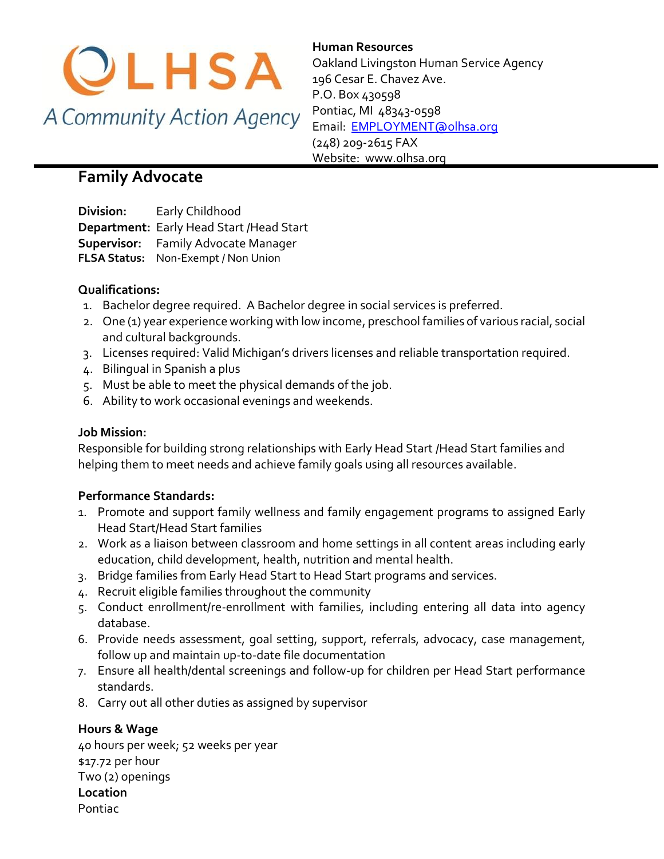

**Human Resources**  Oakland Livingston Human Service Agency 196 Cesar E. Chavez Ave. P.O. Box 430598 Pontiac, MI 48343-0598 [Email: EMPLOYMENT@olhsa.org](mailto:JamilaT@olhsa.org) (248) 209-2615 FAX Website: www.olhsa.org

# **Family Advocate**

**Division:** Early Childhood **Department:** Early Head Start /Head Start **Supervisor:** Family Advocate Manager **FLSA Status:** Non-Exempt / Non Union

# **Qualifications:**

- 1. Bachelor degree required. A Bachelor degree in social services is preferred.
- 2. One (1) year experience working with low income, preschool families of various racial, social and cultural backgrounds.
- 3. Licenses required: Valid Michigan's drivers licenses and reliable transportation required.
- 4. Bilingual in Spanish a plus
- 5. Must be able to meet the physical demands of the job.
- 6. Ability to work occasional evenings and weekends.

#### **Job Mission:**

Responsible for building strong relationships with Early Head Start /Head Start families and helping them to meet needs and achieve family goals using all resources available.

# **Performance Standards:**

- 1. Promote and support family wellness and family engagement programs to assigned Early Head Start/Head Start families
- 2. Work as a liaison between classroom and home settings in all content areas including early education, child development, health, nutrition and mental health.
- 3. Bridge families from Early Head Start to Head Start programs and services.
- 4. Recruit eligible families throughout the community
- 5. Conduct enrollment/re-enrollment with families, including entering all data into agency database.
- 6. Provide needs assessment, goal setting, support, referrals, advocacy, case management, follow up and maintain up-to-date file documentation
- 7. Ensure all health/dental screenings and follow-up for children per Head Start performance standards.
- 8. Carry out all other duties as assigned by supervisor

# **Hours & Wage**

40 hours per week; 52 weeks per year \$17.72 per hour Two (2) openings **Location** Pontiac